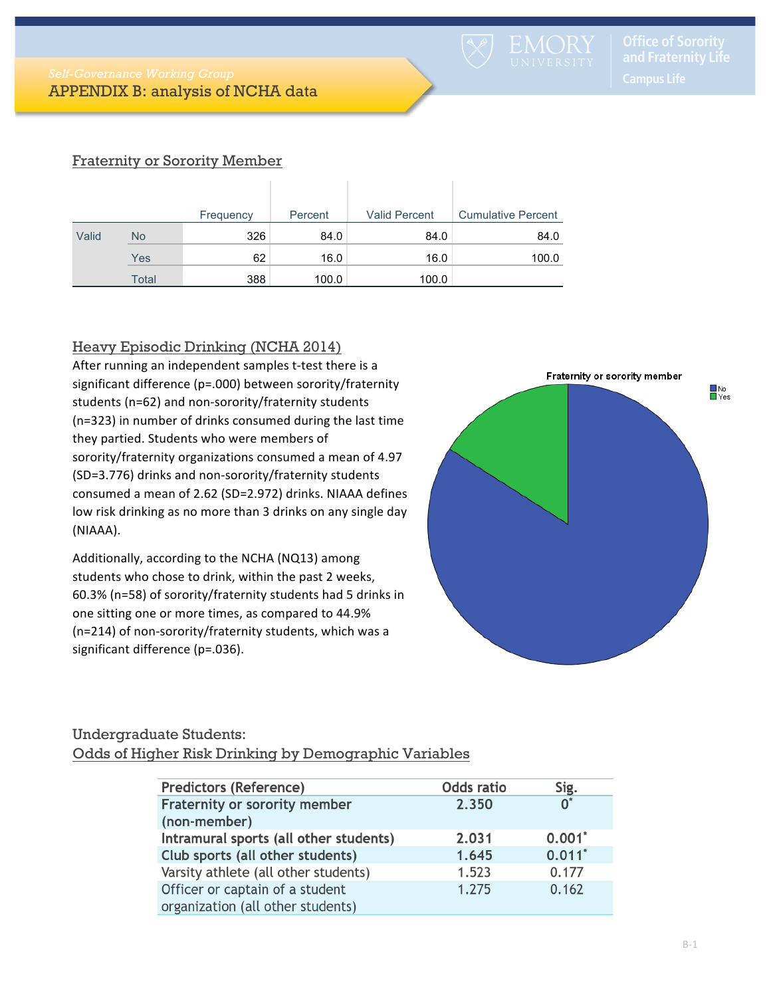# Fraternity or Sorority Member

|       |       | Frequency | Percent | <b>Valid Percent</b> | <b>Cumulative Percent</b> |
|-------|-------|-----------|---------|----------------------|---------------------------|
| Valid | No    | 326       | 84.0    | 84.0                 | 84.0                      |
|       | Yes   | 62        | 16.0    | 16.0                 | 100.0                     |
|       | Total | 388       | 100.0   | 100.0                |                           |

# Heavy Episodic Drinking (NCHA 2014)

After running an independent samples t-test there is a significant difference (p=.000) between sorority/fraternity students (n=62) and non-sorority/fraternity students (n=323) in number of drinks consumed during the last time they partied. Students who were members of sorority/fraternity organizations consumed a mean of 4.97 (SD=3.776) drinks and non-sorority/fraternity students consumed a mean of 2.62 (SD=2.972) drinks. NIAAA defines low risk drinking as no more than 3 drinks on any single day (NIAAA).

Additionally, according to the NCHA (NQ13) among students who chose to drink, within the past 2 weeks, 60.3% (n=58) of sorority/fraternity students had 5 drinks in one sitting one or more times, as compared to 44.9% ( $n=214$ ) of non-sorority/fraternity students, which was a significant difference (p=.036).



# Undergraduate Students:

#### Odds of Higher Risk Drinking by Demographic Variables

| <b>Predictors (Reference)</b>          | <b>Odds ratio</b> | Sig.           |
|----------------------------------------|-------------------|----------------|
| Fraternity or sorority member          | 2.350             | $\mathsf{O}^*$ |
| (non-member)                           |                   |                |
| Intramural sports (all other students) | 2.031             | 0.001          |
| Club sports (all other students)       | 1.645             | $0.011$ *      |
| Varsity athlete (all other students)   | 1.523             | 0.177          |
| Officer or captain of a student        | 1.275             | 0.162          |
| organization (all other students)      |                   |                |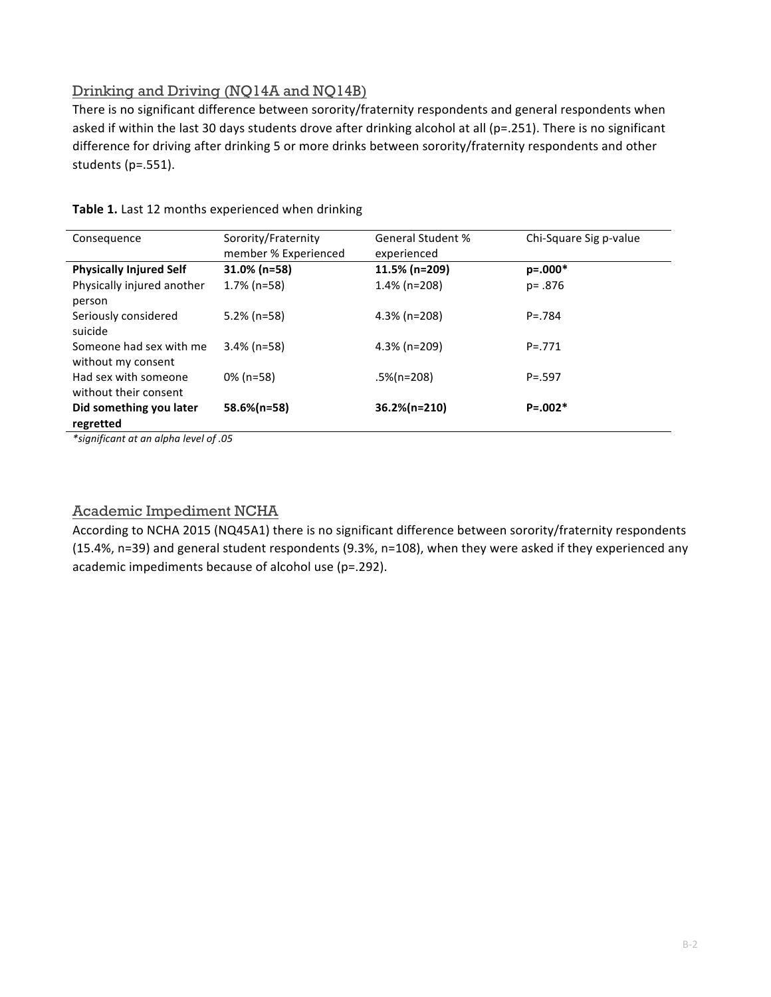# Drinking and Driving (NQ14A and NQ14B)

There is no significant difference between sorority/fraternity respondents and general respondents when asked if within the last 30 days students drove after drinking alcohol at all (p=.251). There is no significant difference for driving after drinking 5 or more drinks between sorority/fraternity respondents and other students (p=.551).

| Consequence                                   | Sorority/Fraternity<br>member % Experienced | <b>General Student %</b><br>experienced | Chi-Square Sig p-value |
|-----------------------------------------------|---------------------------------------------|-----------------------------------------|------------------------|
| <b>Physically Injured Self</b>                | $31.0\%$ (n=58)                             | 11.5% (n=209)                           | $p=.000*$              |
| Physically injured another<br>person          | $1.7\%$ (n=58)                              | $1.4\%$ (n=208)                         | $p = .876$             |
| Seriously considered<br>suicide               | $5.2\%$ (n=58)                              | $4.3\%$ (n=208)                         | $P = 784$              |
| Someone had sex with me<br>without my consent | $3.4\%$ (n=58)                              | $4.3\%$ (n=209)                         | $P = 771$              |
| Had sex with someone<br>without their consent | $0\%$ (n=58)                                | .5%(n=208)                              | $P = .597$             |
| Did something you later<br>regretted          | 58.6%(n=58)                                 | 36.2%(n=210)                            | $P = 0.002*$           |

### Table 1. Last 12 months experienced when drinking

*\*significant at an alpha level of .05*

### Academic Impediment NCHA

According to NCHA 2015 (NQ45A1) there is no significant difference between sorority/fraternity respondents (15.4%, n=39) and general student respondents (9.3%, n=108), when they were asked if they experienced any academic impediments because of alcohol use ( $p=292$ ).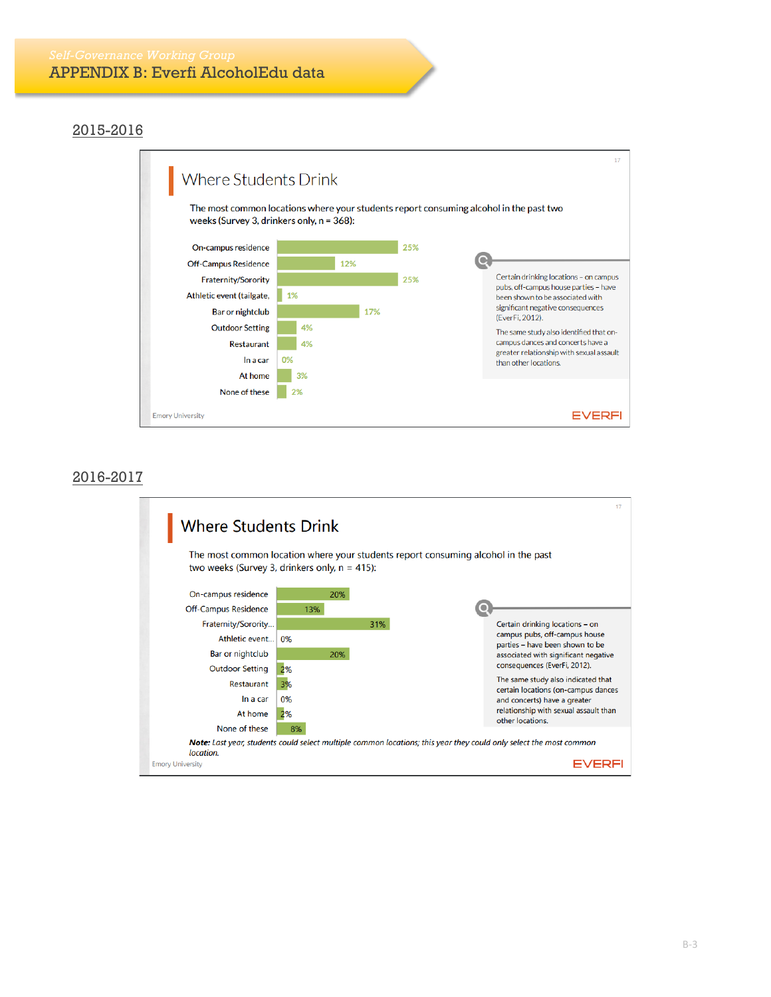### 2015-2016



### 2016-2017